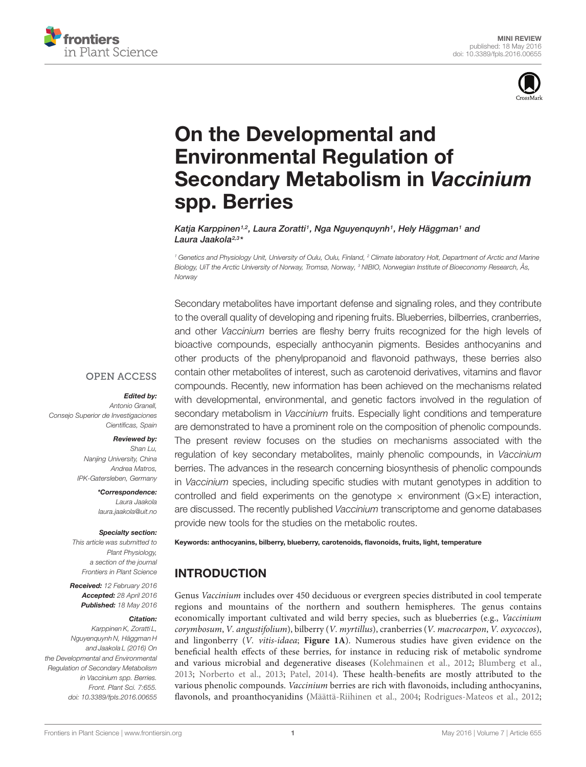



# On the Developmental and [Environmental Regulation of](http://journal.frontiersin.org/article/10.3389/fpls.2016.00655/abstract) Secondary Metabolism in Vaccinium spp. Berries

[Katja Karppinen](http://loop.frontiersin.org/people/186448/overview)<sup>1,2</sup>, [Laura Zoratti](http://loop.frontiersin.org/people/186264/overview)<sup>1</sup>, [Nga Nguyenquynh](http://loop.frontiersin.org/people/343730/overview)<sup>1</sup>, [Hely Häggman](http://loop.frontiersin.org/people/186399/overview)<sup>1</sup> and [Laura Jaakola](http://loop.frontiersin.org/people/129833/overview)<sup>2,3</sup>\*

<sup>1</sup> Genetics and Physiology Unit, University of Oulu, Oulu, Finland, <sup>2</sup> Climate laboratory Holt, Department of Arctic and Marine Biology, UiT the Arctic University of Norway, Tromsø, Norway, <sup>3</sup> NIBIO, Norwegian Institute of Bioeconomy Research, Ås, Norway

Secondary metabolites have important defense and signaling roles, and they contribute to the overall quality of developing and ripening fruits. Blueberries, bilberries, cranberries, and other Vaccinium berries are fleshy berry fruits recognized for the high levels of bioactive compounds, especially anthocyanin pigments. Besides anthocyanins and other products of the phenylpropanoid and flavonoid pathways, these berries also contain other metabolites of interest, such as carotenoid derivatives, vitamins and flavor compounds. Recently, new information has been achieved on the mechanisms related with developmental, environmental, and genetic factors involved in the regulation of secondary metabolism in *Vaccinium* fruits. Especially light conditions and temperature are demonstrated to have a prominent role on the composition of phenolic compounds. The present review focuses on the studies on mechanisms associated with the regulation of key secondary metabolites, mainly phenolic compounds, in Vaccinium berries. The advances in the research concerning biosynthesis of phenolic compounds in Vaccinium species, including specific studies with mutant genotypes in addition to controlled and field experiments on the genotype  $\times$  environment (G $\times$ E) interaction, are discussed. The recently published Vaccinium transcriptome and genome databases provide new tools for the studies on the metabolic routes.

#### Keywords: anthocyanins, bilberry, blueberry, carotenoids, flavonoids, fruits, light, temperature

## INTRODUCTION

Genus Vaccinium includes over 450 deciduous or evergreen species distributed in cool temperate regions and mountains of the northern and southern hemispheres. The genus contains economically important cultivated and wild berry species, such as blueberries (e.g., Vaccinium corymbosum, V. angustifolium), bilberry (V. myrtillus), cranberries (V. macrocarpon, V. oxycoccos), and lingonberry (V. vitis-idaea; **[Figure 1A](#page-1-0)**). Numerous studies have given evidence on the beneficial health effects of these berries, for instance in reducing risk of metabolic syndrome and various microbial and degenerative diseases [\(Kolehmainen et al., 2012;](#page-7-0) [Blumberg et al.,](#page-5-0) [2013;](#page-5-0) [Norberto et al., 2013;](#page-7-1) [Patel, 2014\)](#page-7-2). These health-benefits are mostly attributed to the various phenolic compounds. Vaccinium berries are rich with flavonoids, including anthocyanins, flavonols, and proanthocyanidins [\(Määttä-Riihinen et al., 2004;](#page-7-3) [Rodrigues-Mateos et al., 2012;](#page-7-4)

**OPEN ACCESS** 

#### Edited by:

Antonio Granell, Consejo Superior de Investigaciones Científicas, Spain

#### Reviewed by:

Shan Lu, Nanjing University, China Andrea Matros, IPK-Gatersleben, Germany

> \*Correspondence: Laura Jaakola laura.jaakola@uit.no

#### Specialty section:

This article was submitted to Plant Physiology, a section of the journal Frontiers in Plant Science

Received: 12 February 2016 Accepted: 28 April 2016 Published: 18 May 2016

#### Citation:

Karppinen K, Zoratti L, Nguyenquynh N, Häggman H and Jaakola L (2016) On the Developmental and Environmental Regulation of Secondary Metabolism in Vaccinium spp. Berries. Front. Plant Sci. 7:655. doi: [10.3389/fpls.2016.00655](http://dx.doi.org/10.3389/fpls.2016.00655)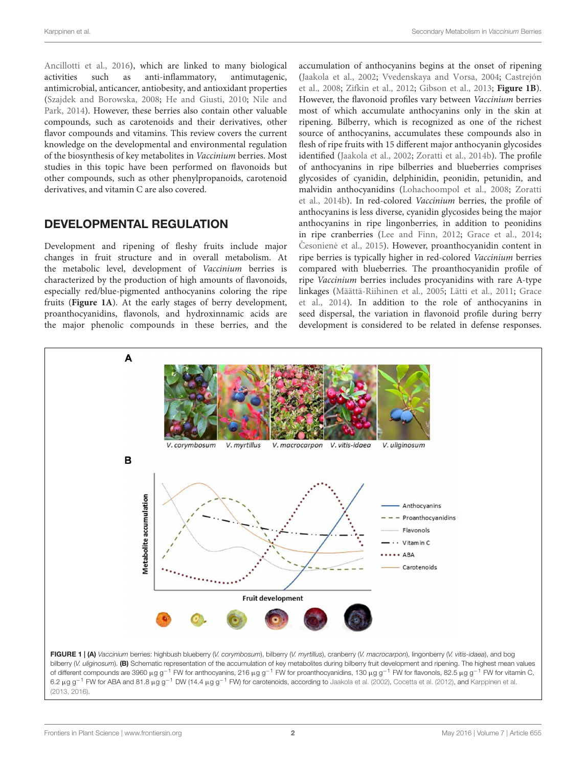[Ancillotti et al.,](#page-5-1) [2016\)](#page-5-1), which are linked to many biological activities such as anti-inflammatory, antimutagenic, antimicrobial, anticancer, antiobesity, and antioxidant properties [\(Szajdek and Borowska,](#page-8-0) [2008;](#page-8-0) [He and Giusti,](#page-6-0) [2010;](#page-6-0) [Nile and](#page-7-5) [Park,](#page-7-5) [2014\)](#page-7-5). However, these berries also contain other valuable compounds, such as carotenoids and their derivatives, other flavor compounds and vitamins. This review covers the current knowledge on the developmental and environmental regulation of the biosynthesis of key metabolites in Vaccinium berries. Most studies in this topic have been performed on flavonoids but other compounds, such as other phenylpropanoids, carotenoid derivatives, and vitamin C are also covered.

## DEVELOPMENTAL REGULATION

Development and ripening of fleshy fruits include major changes in fruit structure and in overall metabolism. At the metabolic level, development of Vaccinium berries is characterized by the production of high amounts of flavonoids, especially red/blue-pigmented anthocyanins coloring the ripe fruits (**[Figure 1A](#page-1-0)**). At the early stages of berry development, proanthocyanidins, flavonols, and hydroxinnamic acids are the major phenolic compounds in these berries, and the accumulation of anthocyanins begins at the onset of ripening [\(Jaakola et al.,](#page-6-1) [2002;](#page-6-1) [Vvedenskaya and Vorsa,](#page-8-1) [2004;](#page-8-1) [Castrejón](#page-6-2) [et al.,](#page-6-2) [2008;](#page-6-2) [Zifkin et al.,](#page-8-2) [2012;](#page-8-2) [Gibson et al.,](#page-6-3) [2013;](#page-6-3) **[Figure 1B](#page-1-0)**). However, the flavonoid profiles vary between Vaccinium berries most of which accumulate anthocyanins only in the skin at ripening. Bilberry, which is recognized as one of the richest source of anthocyanins, accumulates these compounds also in flesh of ripe fruits with 15 different major anthocyanin glycosides identified [\(Jaakola et al.,](#page-6-1) [2002;](#page-6-1) [Zoratti et al.,](#page-8-3) [2014b\)](#page-8-3). The profile of anthocyanins in ripe bilberries and blueberries comprises glycosides of cyanidin, delphinidin, peonidin, petunidin, and malvidin anthocyanidins [\(Lohachoompol et al.,](#page-7-6) [2008;](#page-7-6) [Zoratti](#page-8-3) [et al.,](#page-8-3) [2014b\)](#page-8-3). In red-colored Vaccinium berries, the profile of anthocyanins is less diverse, cyanidin glycosides being the major anthocyanins in ripe lingonberries, in addition to peonidins in ripe cranberries [\(Lee and Finn,](#page-7-7) [2012;](#page-7-7) [Grace et al.,](#page-6-4) [2014;](#page-6-4) Česonienė et al., [2015\)](#page-6-5). However, proanthocyanidin content in ripe berries is typically higher in red-colored Vaccinium berries compared with blueberries. The proanthocyanidin profile of ripe Vaccinium berries includes procyanidins with rare A-type linkages [\(Määttä-Riihinen et al.,](#page-7-8) [2005;](#page-7-8) [Lätti et al.,](#page-7-9) [2011;](#page-7-9) [Grace](#page-6-4) [et al.,](#page-6-4) [2014\)](#page-6-4). In addition to the role of anthocyanins in seed dispersal, the variation in flavonoid profile during berry development is considered to be related in defense responses.



<span id="page-1-0"></span>bilberry (V. uliginosum). (B) Schematic representation of the accumulation of key metabolites during bilberry fruit development and ripening. The highest mean values of different compounds are 3960 μg g<sup>-1</sup> FW for anthocyanins, 216 μg g<sup>-1</sup> FW for proanthocyanidins, 130 μg g<sup>-1</sup> FW for flavonols, 82.5 μg g<sup>-1</sup> FW for vitamin C, 6.2 µg g<sup>-1</sup> FW for ABA and 81.8 µg g<sup>-1</sup> DW (14.4 µg g<sup>-1</sup> FW) for carotenoids, according to [Jaakola et al.](#page-6-1) [\(2002\)](#page-6-1), [Cocetta et al.](#page-6-6) [\(2012\)](#page-6-6), and [Karppinen et al.](#page-6-7) [\(2013,](#page-6-7) [2016\)](#page-6-8).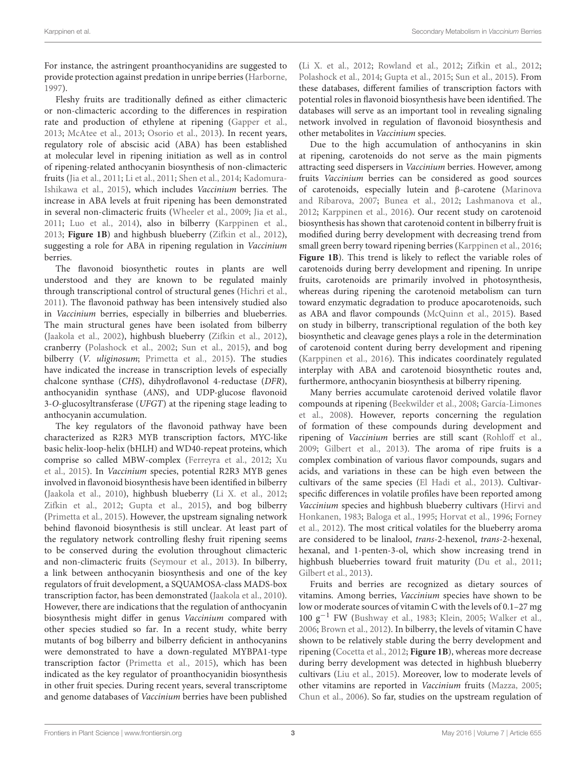For instance, the astringent proanthocyanidins are suggested to provide protection against predation in unripe berries [\(Harborne,](#page-6-9) [1997\)](#page-6-9).

Fleshy fruits are traditionally defined as either climacteric or non-climacteric according to the differences in respiration rate and production of ethylene at ripening [\(Gapper et al.,](#page-6-10) [2013;](#page-6-10) [McAtee et al.,](#page-7-10) [2013;](#page-7-10) [Osorio et al.,](#page-7-11) [2013\)](#page-7-11). In recent years, regulatory role of abscisic acid (ABA) has been established at molecular level in ripening initiation as well as in control of ripening-related anthocyanin biosynthesis of non-climacteric fruits [\(Jia et al.,](#page-6-11) [2011;](#page-6-11) [Li et al.,](#page-7-12) [2011;](#page-7-12) [Shen et al.,](#page-8-4) [2014;](#page-8-4) [Kadomura-](#page-6-12)[Ishikawa et al.,](#page-6-12) [2015\)](#page-6-12), which includes Vaccinium berries. The increase in ABA levels at fruit ripening has been demonstrated in several non-climacteric fruits [\(Wheeler et al.,](#page-8-5) [2009;](#page-8-5) [Jia et al.,](#page-6-11) [2011;](#page-6-11) [Luo et al.,](#page-7-13) [2014\)](#page-7-13), also in bilberry [\(Karppinen et al.,](#page-6-7) [2013;](#page-6-7) **[Figure 1B](#page-1-0)**) and highbush blueberry [\(Zifkin et al.,](#page-8-2) [2012\)](#page-8-2), suggesting a role for ABA in ripening regulation in Vaccinium berries.

The flavonoid biosynthetic routes in plants are well understood and they are known to be regulated mainly through transcriptional control of structural genes [\(Hichri et al.,](#page-6-13) [2011\)](#page-6-13). The flavonoid pathway has been intensively studied also in Vaccinium berries, especially in bilberries and blueberries. The main structural genes have been isolated from bilberry [\(Jaakola et al.,](#page-6-1) [2002\)](#page-6-1), highbush blueberry [\(Zifkin et al.,](#page-8-2) [2012\)](#page-8-2), cranberry [\(Polashock et al.,](#page-7-14) [2002;](#page-7-14) [Sun et al.,](#page-8-6) [2015\)](#page-8-6), and bog bilberry (V. uliginosum; [Primetta et al.,](#page-7-15) [2015\)](#page-7-15). The studies have indicated the increase in transcription levels of especially chalcone synthase (CHS), dihydroflavonol 4-reductase (DFR), anthocyanidin synthase (ANS), and UDP-glucose flavonoid 3-O-glucosyltransferase (UFGT) at the ripening stage leading to anthocyanin accumulation.

The key regulators of the flavonoid pathway have been characterized as R2R3 MYB transcription factors, MYC-like basic helix-loop-helix (bHLH) and WD40-repeat proteins, which comprise so called MBW-complex [\(Ferreyra et al.,](#page-6-14) [2012;](#page-6-14) [Xu](#page-8-7) [et al.,](#page-8-7) [2015\)](#page-8-7). In Vaccinium species, potential R2R3 MYB genes involved in flavonoid biosynthesis have been identified in bilberry [\(Jaakola et al.,](#page-6-15) [2010\)](#page-6-15), highbush blueberry [\(Li X. et al.,](#page-7-16) [2012;](#page-7-16) [Zifkin et al.,](#page-8-2) [2012;](#page-8-2) [Gupta et al.,](#page-6-16) [2015\)](#page-6-16), and bog bilberry [\(Primetta et al.,](#page-7-15) [2015\)](#page-7-15). However, the upstream signaling network behind flavonoid biosynthesis is still unclear. At least part of the regulatory network controlling fleshy fruit ripening seems to be conserved during the evolution throughout climacteric and non-climacteric fruits [\(Seymour et al.,](#page-8-8) [2013\)](#page-8-8). In bilberry, a link between anthocyanin biosynthesis and one of the key regulators of fruit development, a SQUAMOSA-class MADS-box transcription factor, has been demonstrated [\(Jaakola et al.,](#page-6-15) [2010\)](#page-6-15). However, there are indications that the regulation of anthocyanin biosynthesis might differ in genus Vaccinium compared with other species studied so far. In a recent study, white berry mutants of bog bilberry and bilberry deficient in anthocyanins were demonstrated to have a down-regulated MYBPA1-type transcription factor [\(Primetta et al.,](#page-7-15) [2015\)](#page-7-15), which has been indicated as the key regulator of proanthocyanidin biosynthesis in other fruit species. During recent years, several transcriptome and genome databases of Vaccinium berries have been published

[\(Li X. et al.,](#page-7-16) [2012;](#page-7-16) [Rowland et al.,](#page-7-17) [2012;](#page-7-17) [Zifkin et al.,](#page-8-2) [2012;](#page-8-2) [Polashock et al.,](#page-7-18) [2014;](#page-7-18) [Gupta et al.,](#page-6-16) [2015;](#page-6-16) [Sun et al.,](#page-8-6) [2015\)](#page-8-6). From these databases, different families of transcription factors with potential roles in flavonoid biosynthesis have been identified. The databases will serve as an important tool in revealing signaling network involved in regulation of flavonoid biosynthesis and other metabolites in Vaccinium species.

Due to the high accumulation of anthocyanins in skin at ripening, carotenoids do not serve as the main pigments attracting seed dispersers in Vaccinium berries. However, among fruits Vaccinium berries can be considered as good sources of carotenoids, especially lutein and β-carotene [\(Marinova](#page-7-19) [and Ribarova,](#page-7-19) [2007;](#page-7-19) [Bunea et al.,](#page-5-2) [2012;](#page-5-2) [Lashmanova et al.,](#page-7-20) [2012;](#page-7-20) [Karppinen et al.,](#page-6-8) [2016\)](#page-6-8). Our recent study on carotenoid biosynthesis has shown that carotenoid content in bilberry fruit is modified during berry development with decreasing trend from small green berry toward ripening berries [\(Karppinen et al.,](#page-6-8) [2016;](#page-6-8) **[Figure 1B](#page-1-0)**). This trend is likely to reflect the variable roles of carotenoids during berry development and ripening. In unripe fruits, carotenoids are primarily involved in photosynthesis, whereas during ripening the carotenoid metabolism can turn toward enzymatic degradation to produce apocarotenoids, such as ABA and flavor compounds [\(McQuinn et al.,](#page-7-21) [2015\)](#page-7-21). Based on study in bilberry, transcriptional regulation of the both key biosynthetic and cleavage genes plays a role in the determination of carotenoid content during berry development and ripening [\(Karppinen et al.,](#page-6-8) [2016\)](#page-6-8). This indicates coordinately regulated interplay with ABA and carotenoid biosynthetic routes and, furthermore, anthocyanin biosynthesis at bilberry ripening.

Many berries accumulate carotenoid derived volatile flavor compounds at ripening [\(Beekwilder et al.,](#page-5-3) [2008;](#page-5-3) [García-Limones](#page-6-17) [et al.,](#page-6-17) [2008\)](#page-6-17). However, reports concerning the regulation of formation of these compounds during development and ripening of Vaccinium berries are still scant [\(Rohloff et al.,](#page-7-22) [2009;](#page-7-22) [Gilbert et al.,](#page-6-18) [2013\)](#page-6-18). The aroma of ripe fruits is a complex combination of various flavor compounds, sugars and acids, and variations in these can be high even between the cultivars of the same species [\(El Hadi et al.,](#page-6-19) [2013\)](#page-6-19). Cultivarspecific differences in volatile profiles have been reported among Vaccinium species and highbush blueberry cultivars [\(Hirvi and](#page-6-20) [Honkanen,](#page-6-20) [1983;](#page-6-20) [Baloga et al.,](#page-5-4) [1995;](#page-5-4) [Horvat et al.,](#page-6-21) [1996;](#page-6-21) [Forney](#page-6-22) [et al.,](#page-6-22) [2012\)](#page-6-22). The most critical volatiles for the blueberry aroma are considered to be linalool, trans-2-hexenol, trans-2-hexenal, hexanal, and 1-penten-3-ol, which show increasing trend in highbush blueberries toward fruit maturity [\(Du et al.,](#page-6-23) [2011;](#page-6-23) [Gilbert et al.,](#page-6-18) [2013\)](#page-6-18).

Fruits and berries are recognized as dietary sources of vitamins. Among berries, Vaccinium species have shown to be low or moderate sources of vitamin C with the levels of 0.1–27 mg 100 g−<sup>1</sup> FW [\(Bushway et al.,](#page-6-24) [1983;](#page-6-24) [Klein,](#page-7-23) [2005;](#page-7-23) [Walker et al.,](#page-8-9) [2006;](#page-8-9) [Brown et al.,](#page-5-5) [2012\)](#page-5-5). In bilberry, the levels of vitamin C have shown to be relatively stable during the berry development and ripening [\(Cocetta et al.,](#page-6-6) [2012;](#page-6-6) **[Figure 1B](#page-1-0)**), whereas more decrease during berry development was detected in highbush blueberry cultivars [\(Liu et al.,](#page-7-24) [2015\)](#page-7-24). Moreover, low to moderate levels of other vitamins are reported in Vaccinium fruits [\(Mazza,](#page-7-25) [2005;](#page-7-25) [Chun et al.,](#page-6-25) [2006\)](#page-6-25). So far, studies on the upstream regulation of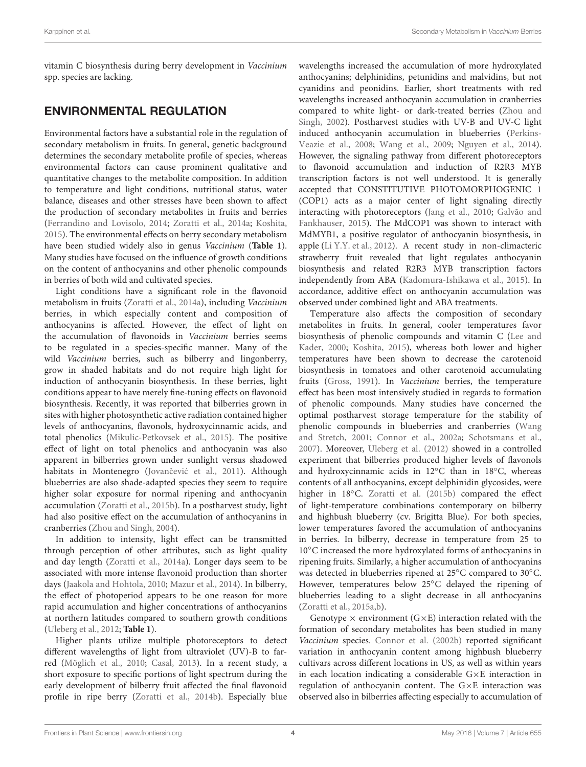vitamin C biosynthesis during berry development in Vaccinium spp. species are lacking.

# ENVIRONMENTAL REGULATION

Environmental factors have a substantial role in the regulation of secondary metabolism in fruits. In general, genetic background determines the secondary metabolite profile of species, whereas environmental factors can cause prominent qualitative and quantitative changes to the metabolite composition. In addition to temperature and light conditions, nutritional status, water balance, diseases and other stresses have been shown to affect the production of secondary metabolites in fruits and berries [\(Ferrandino and Lovisolo,](#page-6-26) [2014;](#page-6-26) [Zoratti et al.,](#page-8-10) [2014a;](#page-8-10) [Koshita,](#page-7-26) [2015\)](#page-7-26). The environmental effects on berry secondary metabolism have been studied widely also in genus Vaccinium (**[Table 1](#page-4-0)**). Many studies have focused on the influence of growth conditions on the content of anthocyanins and other phenolic compounds in berries of both wild and cultivated species.

Light conditions have a significant role in the flavonoid metabolism in fruits [\(Zoratti et al.,](#page-8-10) [2014a\)](#page-8-10), including Vaccinium berries, in which especially content and composition of anthocyanins is affected. However, the effect of light on the accumulation of flavonoids in Vaccinium berries seems to be regulated in a species-specific manner. Many of the wild Vaccinium berries, such as bilberry and lingonberry, grow in shaded habitats and do not require high light for induction of anthocyanin biosynthesis. In these berries, light conditions appear to have merely fine-tuning effects on flavonoid biosynthesis. Recently, it was reported that bilberries grown in sites with higher photosynthetic active radiation contained higher levels of anthocyanins, flavonols, hydroxycinnamic acids, and total phenolics [\(Mikulic-Petkovsek et al.,](#page-7-27) [2015\)](#page-7-27). The positive effect of light on total phenolics and anthocyanin was also apparent in bilberries grown under sunlight versus shadowed habitats in Montenegro (Jovančević et al., [2011\)](#page-6-27). Although blueberries are also shade-adapted species they seem to require higher solar exposure for normal ripening and anthocyanin accumulation [\(Zoratti et al.,](#page-8-11) [2015b\)](#page-8-11). In a postharvest study, light had also positive effect on the accumulation of anthocyanins in cranberries [\(Zhou and Singh,](#page-8-12) [2004\)](#page-8-12).

In addition to intensity, light effect can be transmitted through perception of other attributes, such as light quality and day length [\(Zoratti et al.,](#page-8-10) [2014a\)](#page-8-10). Longer days seem to be associated with more intense flavonoid production than shorter days [\(Jaakola and Hohtola,](#page-6-28) [2010;](#page-6-28) [Mazur et al.,](#page-7-28) [2014\)](#page-7-28). In bilberry, the effect of photoperiod appears to be one reason for more rapid accumulation and higher concentrations of anthocyanins at northern latitudes compared to southern growth conditions [\(Uleberg et al.,](#page-8-13) [2012;](#page-8-13) **[Table 1](#page-4-0)**).

Higher plants utilize multiple photoreceptors to detect different wavelengths of light from ultraviolet (UV)-B to farred [\(Möglich et al.,](#page-7-29) [2010;](#page-7-29) [Casal,](#page-6-29) [2013\)](#page-6-29). In a recent study, a short exposure to specific portions of light spectrum during the early development of bilberry fruit affected the final flavonoid profile in ripe berry [\(Zoratti et al.,](#page-8-3) [2014b\)](#page-8-3). Especially blue wavelengths increased the accumulation of more hydroxylated anthocyanins; delphinidins, petunidins and malvidins, but not cyanidins and peonidins. Earlier, short treatments with red wavelengths increased anthocyanin accumulation in cranberries compared to white light- or dark-treated berries [\(Zhou and](#page-8-14) [Singh,](#page-8-14) [2002\)](#page-8-14). Postharvest studies with UV-B and UV-C light induced anthocyanin accumulation in blueberries [\(Perkins-](#page-7-30)[Veazie et al.,](#page-7-30) [2008;](#page-7-30) [Wang et al.,](#page-8-15) [2009;](#page-8-15) [Nguyen et al.,](#page-7-31) [2014\)](#page-7-31). However, the signaling pathway from different photoreceptors to flavonoid accumulation and induction of R2R3 MYB transcription factors is not well understood. It is generally accepted that CONSTITUTIVE PHOTOMORPHOGENIC 1 (COP1) acts as a major center of light signaling directly interacting with photoreceptors [\(Jang et al.,](#page-6-30) [2010;](#page-6-30) [Galvão and](#page-6-31) [Fankhauser,](#page-6-31) [2015\)](#page-6-31). The MdCOP1 was shown to interact with MdMYB1, a positive regulator of anthocyanin biosynthesis, in apple [\(Li Y.Y. et al.,](#page-7-32) [2012\)](#page-7-32). A recent study in non-climacteric strawberry fruit revealed that light regulates anthocyanin biosynthesis and related R2R3 MYB transcription factors independently from ABA [\(Kadomura-Ishikawa et al.,](#page-6-12) [2015\)](#page-6-12). In accordance, additive effect on anthocyanin accumulation was observed under combined light and ABA treatments.

Temperature also affects the composition of secondary metabolites in fruits. In general, cooler temperatures favor biosynthesis of phenolic compounds and vitamin C [\(Lee and](#page-7-33) [Kader,](#page-7-33) [2000;](#page-7-33) [Koshita,](#page-7-26) [2015\)](#page-7-26), whereas both lower and higher temperatures have been shown to decrease the carotenoid biosynthesis in tomatoes and other carotenoid accumulating fruits [\(Gross,](#page-6-32) [1991\)](#page-6-32). In Vaccinium berries, the temperature effect has been most intensively studied in regards to formation of phenolic compounds. Many studies have concerned the optimal postharvest storage temperature for the stability of phenolic compounds in blueberries and cranberries [\(Wang](#page-8-16) [and Stretch,](#page-8-16) [2001;](#page-8-16) [Connor et al.,](#page-6-33) [2002a;](#page-6-33) [Schotsmans et al.,](#page-7-34) [2007\)](#page-7-34). Moreover, [Uleberg et al.](#page-8-13) [\(2012\)](#page-8-13) showed in a controlled experiment that bilberries produced higher levels of flavonols and hydroxycinnamic acids in 12◦C than in 18◦C, whereas contents of all anthocyanins, except delphinidin glycosides, were higher in 18◦C. [Zoratti et al.](#page-8-11) [\(2015b\)](#page-8-11) compared the effect of light-temperature combinations contemporary on bilberry and highbush blueberry (cv. Brigitta Blue). For both species, lower temperatures favored the accumulation of anthocyanins in berries. In bilberry, decrease in temperature from 25 to 10◦C increased the more hydroxylated forms of anthocyanins in ripening fruits. Similarly, a higher accumulation of anthocyanins was detected in blueberries ripened at 25◦C compared to 30◦C. However, temperatures below 25◦C delayed the ripening of blueberries leading to a slight decrease in all anthocyanins [\(Zoratti et al.,](#page-8-17) [2015a](#page-8-17)[,b\)](#page-8-11).

Genotype  $\times$  environment (G $\times$ E) interaction related with the formation of secondary metabolites has been studied in many Vaccinium species. [Connor et al.](#page-6-34) [\(2002b\)](#page-6-34) reported significant variation in anthocyanin content among highbush blueberry cultivars across different locations in US, as well as within years in each location indicating a considerable G×E interaction in regulation of anthocyanin content. The G×E interaction was observed also in bilberries affecting especially to accumulation of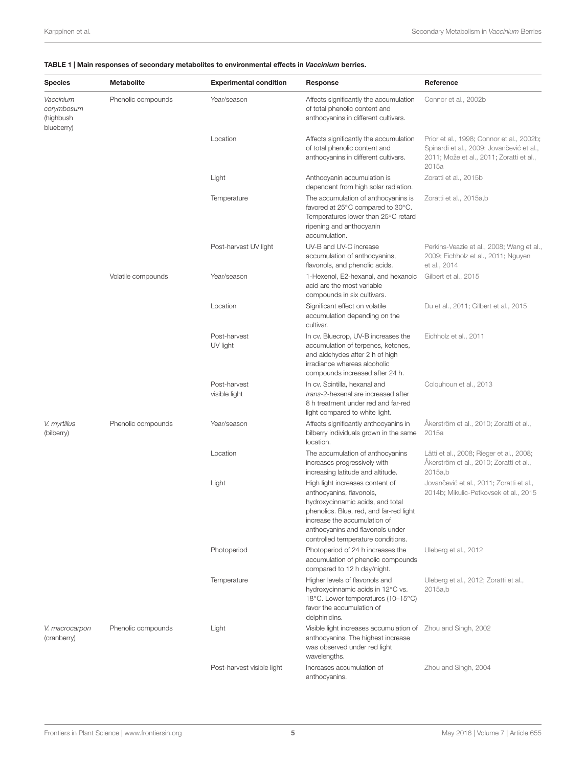#### <span id="page-4-0"></span>TABLE 1 | Main responses of secondary metabolites to environmental effects in Vaccinium berries.

| <b>Species</b>                                     | <b>Metabolite</b>  | <b>Experimental condition</b> | Response                                                                                                                                                                                                                                             | Reference                                                                                                                                   |
|----------------------------------------------------|--------------------|-------------------------------|------------------------------------------------------------------------------------------------------------------------------------------------------------------------------------------------------------------------------------------------------|---------------------------------------------------------------------------------------------------------------------------------------------|
| Vaccinium<br>corymbosum<br>(highbush<br>blueberry) | Phenolic compounds | Year/season                   | Affects significantly the accumulation<br>of total phenolic content and<br>anthocyanins in different cultivars.                                                                                                                                      | Connor et al., 2002b                                                                                                                        |
|                                                    |                    | Location                      | Affects significantly the accumulation<br>of total phenolic content and<br>anthocyanins in different cultivars.                                                                                                                                      | Prior et al., 1998; Connor et al., 2002b;<br>Spinardi et al., 2009; Jovančević et al.,<br>2011; Može et al., 2011; Zoratti et al.,<br>2015a |
|                                                    |                    | Light                         | Anthocyanin accumulation is<br>dependent from high solar radiation.                                                                                                                                                                                  | Zoratti et al., 2015b                                                                                                                       |
|                                                    |                    | Temperature                   | The accumulation of anthocyanins is<br>favored at 25°C compared to 30°C.<br>Temperatures lower than 25°C retard<br>ripening and anthocyanin<br>accumulation.                                                                                         | Zoratti et al., 2015a,b                                                                                                                     |
|                                                    |                    | Post-harvest UV light         | UV-B and UV-C increase<br>accumulation of anthocyanins,<br>flavonols, and phenolic acids.                                                                                                                                                            | Perkins-Veazie et al., 2008; Wang et al.,<br>2009; Eichholz et al., 2011; Nguyen<br>et al., 2014                                            |
|                                                    | Volatile compounds | Year/season                   | 1-Hexenol, E2-hexanal, and hexanoic<br>acid are the most variable<br>compounds in six cultivars.                                                                                                                                                     | Gilbert et al., 2015                                                                                                                        |
|                                                    |                    | Location                      | Significant effect on volatile<br>accumulation depending on the<br>cultivar.                                                                                                                                                                         | Du et al., 2011; Gilbert et al., 2015                                                                                                       |
|                                                    |                    | Post-harvest<br>UV light      | In cv. Bluecrop, UV-B increases the<br>accumulation of terpenes, ketones,<br>and aldehydes after 2 h of high<br>irradiance whereas alcoholic<br>compounds increased after 24 h.                                                                      | Eichholz et al., 2011                                                                                                                       |
|                                                    |                    | Post-harvest<br>visible light | In cv. Scintilla, hexanal and<br>trans-2-hexenal are increased after<br>8 h treatment under red and far-red<br>light compared to white light.                                                                                                        | Colquhoun et al., 2013                                                                                                                      |
| V. myrtillus<br>(bilberry)                         | Phenolic compounds | Year/season                   | Affects significantly anthocyanins in<br>bilberry individuals grown in the same<br>location.                                                                                                                                                         | Åkerström et al., 2010; Zoratti et al.,<br>2015a                                                                                            |
|                                                    |                    | Location                      | The accumulation of anthocyanins<br>increases progressively with<br>increasing latitude and altitude.                                                                                                                                                | Lätti et al., 2008; Rieger et al., 2008;<br>Åkerström et al., 2010; Zoratti et al.,<br>2015a.b                                              |
|                                                    |                    | Light                         | High light increases content of<br>anthocyanins, flavonols,<br>hydroxycinnamic acids, and total<br>phenolics. Blue, red, and far-red light<br>increase the accumulation of<br>anthocyanins and flavonols under<br>controlled temperature conditions. | Jovančević et al., 2011; Zoratti et al.,<br>2014b; Mikulic-Petkovsek et al., 2015                                                           |
|                                                    |                    | Photoperiod                   | Photoperiod of 24 h increases the<br>accumulation of phenolic compounds<br>compared to 12 h day/night.                                                                                                                                               | Uleberg et al., 2012                                                                                                                        |
|                                                    |                    | Temperature                   | Higher levels of flavonols and<br>hydroxycinnamic acids in 12°C vs.<br>18°C. Lower temperatures (10-15°C)<br>favor the accumulation of<br>delphinidins.                                                                                              | Uleberg et al., 2012; Zoratti et al.,<br>2015a,b                                                                                            |
| V. macrocarpon<br>(cranberry)                      | Phenolic compounds | Light                         | Visible light increases accumulation of Zhou and Singh, 2002<br>anthocyanins. The highest increase<br>was observed under red light<br>wavelengths.                                                                                                   |                                                                                                                                             |
|                                                    |                    | Post-harvest visible light    | Increases accumulation of<br>anthocyanins.                                                                                                                                                                                                           | Zhou and Singh, 2004                                                                                                                        |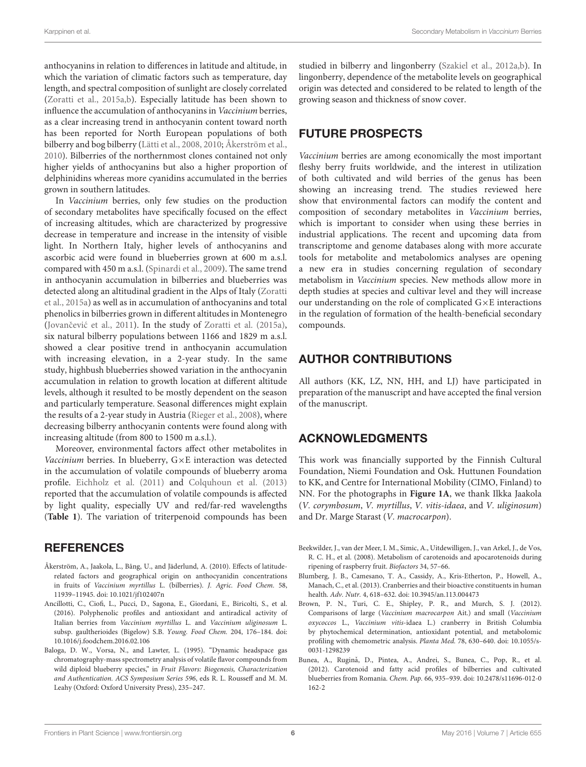anthocyanins in relation to differences in latitude and altitude, in which the variation of climatic factors such as temperature, day length, and spectral composition of sunlight are closely correlated [\(Zoratti et al.,](#page-8-17) [2015a,](#page-8-17)[b\)](#page-8-11). Especially latitude has been shown to influence the accumulation of anthocyanins in Vaccinium berries, as a clear increasing trend in anthocyanin content toward north has been reported for North European populations of both bilberry and bog bilberry [\(Lätti et al.,](#page-7-37) [2008,](#page-7-37) [2010;](#page-7-39) [Åkerström et al.,](#page-5-6) [2010\)](#page-5-6). Bilberries of the northernmost clones contained not only higher yields of anthocyanins but also a higher proportion of delphinidins whereas more cyanidins accumulated in the berries grown in southern latitudes.

In Vaccinium berries, only few studies on the production of secondary metabolites have specifically focused on the effect of increasing altitudes, which are characterized by progressive decrease in temperature and increase in the intensity of visible light. In Northern Italy, higher levels of anthocyanins and ascorbic acid were found in blueberries grown at 600 m a.s.l. compared with 450 m a.s.l. [\(Spinardi et al.,](#page-8-18) [2009\)](#page-8-18). The same trend in anthocyanin accumulation in bilberries and blueberries was detected along an altitudinal gradient in the Alps of Italy [\(Zoratti](#page-8-17) [et al.,](#page-8-17) [2015a\)](#page-8-17) as well as in accumulation of anthocyanins and total phenolics in bilberries grown in different altitudes in Montenegro (Jovančević et al., [2011\)](#page-6-27). In the study of [Zoratti et al.](#page-8-17) [\(2015a\)](#page-8-17), six natural bilberry populations between 1166 and 1829 m a.s.l. showed a clear positive trend in anthocyanin accumulation with increasing elevation, in a 2-year study. In the same study, highbush blueberries showed variation in the anthocyanin accumulation in relation to growth location at different altitude levels, although it resulted to be mostly dependent on the season and particularly temperature. Seasonal differences might explain the results of a 2-year study in Austria [\(Rieger et al.,](#page-7-38) [2008\)](#page-7-38), where decreasing bilberry anthocyanin contents were found along with increasing altitude (from 800 to 1500 m a.s.l.).

Moreover, environmental factors affect other metabolites in Vaccinium berries. In blueberry, G×E interaction was detected in the accumulation of volatile compounds of blueberry aroma profile. [Eichholz et al.](#page-6-35) [\(2011\)](#page-6-35) and [Colquhoun et al.](#page-6-37) [\(2013\)](#page-6-37) reported that the accumulation of volatile compounds is affected by light quality, especially UV and red/far-red wavelengths (**[Table 1](#page-4-0)**). The variation of triterpenoid compounds has been

### **REFERENCES**

- <span id="page-5-6"></span>Åkerström, A., Jaakola, L., Bång, U., and Jäderlund, A. (2010). Effects of latituderelated factors and geographical origin on anthocyanidin concentrations in fruits of Vaccinium myrtillus L. (bilberries). J. Agric. Food Chem. 58, 11939–11945. doi: 10.1021/jf102407n
- <span id="page-5-1"></span>Ancillotti, C., Ciofi, L., Pucci, D., Sagona, E., Giordani, E., Biricolti, S., et al. (2016). Polyphenolic profiles and antioxidant and antiradical activity of Italian berries from Vaccinium myrtillus L. and Vaccinium uliginosum L. subsp. gaultherioides (Bigelow) S.B. Young. Food Chem. 204, 176–184. doi: 10.1016/j.foodchem.2016.02.106
- <span id="page-5-4"></span>Baloga, D. W., Vorsa, N., and Lawter, L. (1995). "Dynamic headspace gas chromatography-mass spectrometry analysis of volatile flavor compounds from wild diploid blueberry species," in Fruit Flavors: Biogenesis, Characterization and Authentication. ACS Symposium Series 596, eds R. L. Rousseff and M. M. Leahy (Oxford: Oxford University Press), 235–247.

studied in bilberry and lingonberry [\(Szakiel et al.,](#page-8-19) [2012a](#page-8-19)[,b\)](#page-8-20). In lingonberry, dependence of the metabolite levels on geographical origin was detected and considered to be related to length of the growing season and thickness of snow cover.

# FUTURE PROSPECTS

Vaccinium berries are among economically the most important fleshy berry fruits worldwide, and the interest in utilization of both cultivated and wild berries of the genus has been showing an increasing trend. The studies reviewed here show that environmental factors can modify the content and composition of secondary metabolites in Vaccinium berries, which is important to consider when using these berries in industrial applications. The recent and upcoming data from transcriptome and genome databases along with more accurate tools for metabolite and metabolomics analyses are opening a new era in studies concerning regulation of secondary metabolism in Vaccinium species. New methods allow more in depth studies at species and cultivar level and they will increase our understanding on the role of complicated G×E interactions in the regulation of formation of the health-beneficial secondary compounds.

## AUTHOR CONTRIBUTIONS

All authors (KK, LZ, NN, HH, and LJ) have participated in preparation of the manuscript and have accepted the final version of the manuscript.

## ACKNOWLEDGMENTS

This work was financially supported by the Finnish Cultural Foundation, Niemi Foundation and Osk. Huttunen Foundation to KK, and Centre for International Mobility (CIMO, Finland) to NN. For the photographs in **[Figure 1A](#page-1-0)**, we thank Ilkka Jaakola (V. corymbosum, V. myrtillus, V. vitis-idaea, and V. uliginosum) and Dr. Marge Starast (V. macrocarpon).

- <span id="page-5-3"></span>Beekwilder, J., van der Meer, I. M., Simic, A., Uitdewilligen, J., van Arkel, J., de Vos, R. C. H., et al. (2008). Metabolism of carotenoids and apocarotenoids during ripening of raspberry fruit. Biofactors 34, 57–66.
- <span id="page-5-0"></span>Blumberg, J. B., Camesano, T. A., Cassidy, A., Kris-Etherton, P., Howell, A., Manach, C., et al. (2013). Cranberries and their bioactive constituents in human health. Adv. Nutr. 4, 618–632. doi: 10.3945/an.113.004473
- <span id="page-5-5"></span>Brown, P. N., Turi, C. E., Shipley, P. R., and Murch, S. J. (2012). Comparisons of large (Vaccinium macrocarpon Ait.) and small (Vaccinium oxycoccos L., Vaccinium vitis-idaea L.) cranberry in British Columbia by phytochemical determination, antioxidant potential, and metabolomic profiling with chemometric analysis. Planta Med. 78, 630–640. doi: 10.1055/s-0031-1298239
- <span id="page-5-2"></span>Bunea, A., Rugină, D., Pintea, A., Andrei, S., Bunea, C., Pop, R., et al. (2012). Carotenoid and fatty acid profiles of bilberries and cultivated blueberries from Romania. Chem. Pap. 66, 935–939. doi: 10.2478/s11696-012-0 162-2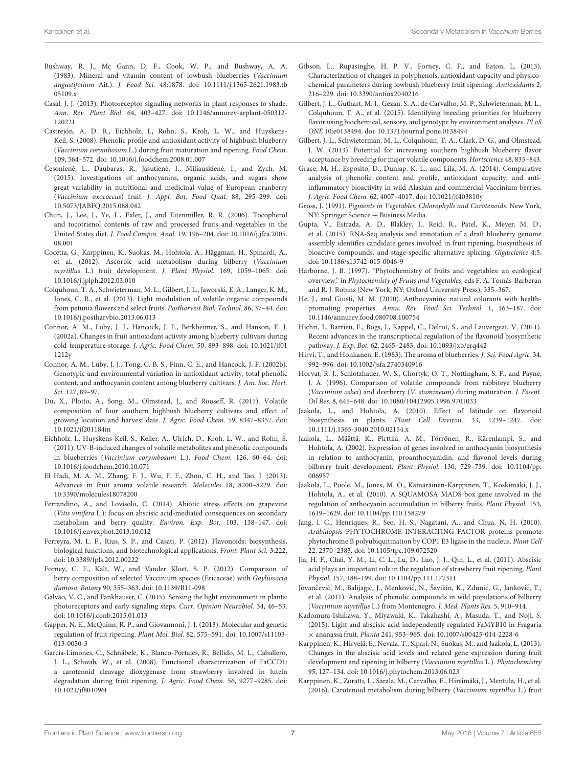- <span id="page-6-24"></span>Bushway, R. J., Mc Gann, D. F., Cook, W. P., and Bushway, A. A. (1983). Mineral and vitamin content of lowbush blueberries (Vaccinium angustifolium Ait.). J. Food Sci. 48:1878. doi: 10.1111/j.1365-2621.1983.tb 05109.x
- <span id="page-6-29"></span>Casal, J. J. (2013). Photoreceptor signaling networks in plant responses to shade. Ann. Rev. Plant Biol. 64, 403–427. doi: 10.1146/annurev-arplant-050312- 120221
- <span id="page-6-2"></span>Castrejón, A. D. R., Eichholz, I., Rohn, S., Kroh, L. W., and Huyskens-Keil, S. (2008). Phenolic profile and antioxidant activity of highbush blueberry (Vaccinium corymbosum L.) during fruit maturation and ripening. Food Chem. 109, 564–572. doi: 10.1016/j.foodchem.2008.01.007
- <span id="page-6-5"></span>Česonienė, L., Daubaras, R., Jasutienė, I., Miliauskienė, I., and Zych, M. (2015). Investigations of anthocyanins, organic acids, and sugars show great variability in nutritional and medicinal value of European cranberry (Vaccinium oxococcus) fruit. J. Appl. Bot. Food Qual. 88, 295–299. doi: 10.5073/JABFQ.2015.088.042
- <span id="page-6-25"></span>Chun, J., Lee, J., Ye, L., Exler, J., and Eitenmiller, R. R. (2006). Tocopherol and tocotrienol contents of raw and processed fruits and vegetables in the United States diet. J. Food Compos. Anal. 19, 196–204. doi: 10.1016/j.jfca.2005. 08.001
- <span id="page-6-6"></span>Cocetta, G., Karppinen, K., Suokas, M., Hohtola, A., Häggman, H., Spinardi, A., et al. (2012). Ascorbic acid metabolism during bilberry (Vaccinium myrtillus L.) fruit development. J. Plant Physiol. 169, 1059–1065. doi: 10.1016/j.jplph.2012.03.010
- <span id="page-6-37"></span>Colquhoun, T. A., Schwieterman, M. L., Gilbert, J. L., Jaworski, E. A., Langer, K. M., Jones, C. R., et al. (2013). Light modulation of volatile organic compounds from petunia flowers and select fruits. Postharvest Biol. Technol. 86, 37–44. doi: 10.1016/j.postharvbio.2013.06.013
- <span id="page-6-33"></span>Connor, A. M., Luby, J. J., Hancock, J. F., Berkheimer, S., and Hanson, E. J. (2002a). Changes in fruit antioxidant activity among blueberry cultivars during cold-temperature storage. J. Agric. Food Chem. 50, 893–898. doi: 10.1021/jf01 1212y
- <span id="page-6-34"></span>Connor, A. M., Luby, J. J., Tong, C. B. S., Finn, C. E., and Hancock, J. F. (2002b). Genotypic and environmental variation in antioxidant activity, total phenolic content, and anthocyanin content among blueberry cultivars. J. Am. Soc. Hort. Sci. 127, 89–97.
- <span id="page-6-23"></span>Du, X., Plotto, A., Song, M., Olmstead, J., and Rouseff, R. (2011). Volatile composition of four southern highbush blueberry cultivars and effect of growing location and harvest date. J. Agric. Food Chem. 59, 8347–8357. doi: 10.1021/jf201184m
- <span id="page-6-35"></span>Eichholz, I., Huyskens-Keil, S., Keller, A., Ulrich, D., Kroh, L. W., and Rohn, S. (2011). UV-B-induced changes of volatile metabolites and phenolic compounds in blueberries (Vaccinium corymbosum L.). Food Chem. 126, 60–64. doi: 10.1016/j.foodchem.2010.10.071
- <span id="page-6-19"></span>El Hadi, M. A. M., Zhang, F. J., Wu, F. F., Zhou, C. H., and Tao, J. (2013). Advances in fruit aroma volatile research. Molecules 18, 8200–8229. doi: 10.3390/molecules18078200
- <span id="page-6-26"></span>Ferrandino, A., and Lovisolo, C. (2014). Abiotic stress effects on grapevine (Vitis vinifera L.): focus on abscisic acid-mediated consequences on secondary metabolism and berry quality. Environ. Exp. Bot. 103, 138–147. doi: 10.1016/j.envexpbot.2013.10.012
- <span id="page-6-14"></span>Ferreyra, M. L. F., Rius, S. P., and Casati, P. (2012). Flavonoids: biosynthesis, biological functions, and biotechnological applications. Front. Plant Sci. 3:222. doi: 10.3389/fpls.2012.00222
- <span id="page-6-22"></span>Forney, C. F., Kalt, W., and Vander Kloet, S. P. (2012). Comparison of berry composition of selected Vaccinium species (Ericaceae) with Gaylussacia dumosa. Botany 90, 355–363. doi: 10.1139/B11-098
- <span id="page-6-31"></span>Galvão, V. C., and Fankhauser, C. (2015). Sensing the light environment in plants: photoreceptors and early signaling steps. Curr. Opinion Neurobiol. 34, 46–53. doi: 10.1016/j.conb.2015.01.013
- <span id="page-6-10"></span>Gapper, N. E., McQuinn, R. P., and Giovannoni, J. J. (2013). Molecular and genetic regulation of fruit ripening. Plant Mol. Biol. 82, 575–591. doi: 10.1007/s11103- 013-0050-3
- <span id="page-6-17"></span>García-Limones, C., Schnäbele, K., Blanco-Portales, R., Bellido, M. L., Caballero, J. L., Schwab, W., et al. (2008). Functional characterization of FaCCD1: a carotenoid cleavage dioxygenase from strawberry involved in lutein degradation during fruit ripening. J. Agric. Food Chem. 56, 9277–9285. doi: 10.1021/jf801096t
- <span id="page-6-3"></span>Gibson, L., Rupasinghe, H. P. V., Forney, C. F., and Eaton, L. (2013). Characterization of changes in polyphenols, antioxidant capacity and physicochemical parameters during lowbush blueberry fruit ripening. Antioxidants 2, 216–229. doi: 10.3390/antiox2040216
- <span id="page-6-36"></span>Gilbert, J. L., Guthart, M. J., Gezan, S. A., de Carvalho, M. P., Schwieterman, M. L., Colquhoun, T. A., et al. (2015). Identifying breeding priorities for blueberry flavor using biochemical, sensory, and genotype by environment analyses. PLoS ONE 10:e0138494. doi: 10.1371/journal.pone.0138494
- <span id="page-6-18"></span>Gilbert, J. L., Schwieterman, M. L., Colquhoun, T. A., Clark, D. G., and Olmstead, J. W. (2013). Potential for increasing southern highbush blueberry flavor acceptance by breeding for major volatile components. Hortscience 48, 835–843.
- <span id="page-6-4"></span>Grace, M. H., Esposito, D., Dunlap, K. L., and Lila, M. A. (2014). Comparative analysis of phenolic content and profile, antioxidant capacity, and antiinflammatory bioactivity in wild Alaskan and commercial Vaccinium berries. J. Agric. Food Chem. 62, 4007–4017. doi: 10.1021/jf403810y
- <span id="page-6-32"></span>Gross, J. (1991). Pigments in Vegetables. Chlorophylls and Carotenoids. New York, NY: Springer Science + Business Media.
- <span id="page-6-16"></span>Gupta, V., Estrada, A. D., Blakley, I., Reid, R., Patel, K., Meyer, M. D., et al. (2015). RNA-Seq analysis and annotation of a draft blueberry genome assembly identifies candidate genes involved in fruit ripening, biosynthesis of bioactive compounds, and stage-specific alternative splicing. Gigascience 4:5. doi: 10.1186/s13742-015-0046-9
- <span id="page-6-9"></span>Harborne, J. B. (1997). "Phytochemistry of fruits and vegetables: an ecological overview," in Phytochemisty of Fruits and Vegetables, eds F. A. Tomás-Barberán and R. J. Robins (New York, NY: Oxford University Press), 335–367.
- <span id="page-6-0"></span>He, J., and Giusti, M. M. (2010). Anthocyanins: natural colorants with healthpromoting properties. Annu. Rev. Food Sci. Technol. 1, 163–187. doi: 10.1146/annurev.food.080708.100754
- <span id="page-6-13"></span>Hichri, I., Barrieu, F., Bogs, J., Kappel, C., Delrot, S., and Lauvergeat, V. (2011). Recent advances in the transcriptional regulation of the flavonoid biosynthetic pathway. J. Exp. Bot. 62, 2465–2483. doi: 10.1093/jxb/erq442
- <span id="page-6-20"></span>Hirvi, T., and Honkanen, E. (1983). The aroma of blueberries. J. Sci. Food Agric. 34, 992–996. doi: 10.1002/jsfa.2740340916
- <span id="page-6-21"></span>Horvat, R. J., Schlotzhauer, W. S., Chortyk, O. T., Nottingham, S. F., and Payne, J. A. (1996). Comparison of volatile compounds from rabbiteye blueberry (Vaccinium ashei) and deerberry (V. stamineum) during maturation. J. Essent. Oil Res. 8, 645–648. doi: 10.1080/10412905.1996.9701033
- <span id="page-6-28"></span>Jaakola, L., and Hohtola, A. (2010). Effect of latitude on flavonoid biosynthesis in plants. Plant Cell Environ. 33, 1239–1247. doi: 10.1111/j.1365-3040.2010.02154.x
- <span id="page-6-1"></span>Jaakola, L., Määttä, K., Pirttilä, A. M., Törrönen, R., Kärenlampi, S., and Hohtola, A. (2002). Expression of genes involved in anthocyanin biosynthesis in relation to anthocyanin, proanthocyanidin, and flavonol levels during bilberry fruit development. Plant Physiol. 130, 729–739. doi: 10.1104/pp. 006957
- <span id="page-6-15"></span>Jaakola, L., Poole, M., Jones, M. O., Kämäräinen-Karppinen, T., Koskimäki, J. J., Hohtola, A., et al. (2010). A SQUAMOSA MADS box gene involved in the regulation of anthocyanin accumulation in bilberry fruits. Plant Physiol. 153, 1619–1629. doi: 10.1104/pp.110.158279
- <span id="page-6-30"></span>Jang, I. C., Henriques, R., Seo, H. S., Nagatani, A., and Chua, N. H. (2010). Arabidopsis PHYTOCHROME INTERACTING FACTOR proteins promote phytochrome B polyubiquitination by COP1 E3 ligase in the nucleus. Plant Cell 22, 2370–2383. doi: 10.1105/tpc.109.072520
- <span id="page-6-11"></span>Jia, H. F., Chai, Y. M., Li, C. L., Lu, D., Luo, J. J., Qin, L., et al. (2011). Abscisic acid plays an important role in the regulation of strawberry fruit ripening. Plant Physiol. 157, 188–199. doi: 10.1104/pp.111.177311
- <span id="page-6-27"></span>Jovančević, M., Balijagić, J., Menković, N., Šavikin, K., Zdunić, G., Janković, T., et al. (2011). Analysis of phenolic compounds in wild populations of bilberry (Vaccinium myrtillus L.) from Montenegro. J. Med. Plants Res. 5, 910–914.
- <span id="page-6-12"></span>Kadomura-Ishikawa, Y., Miyawaki, K., Takahashi, A., Masuda, T., and Noji, S. (2015). Light and abscisic acid independently regulated FaMYB10 in Fragaria × ananassa fruit. Planta 241, 953–965. doi: 10.1007/s00425-014-2228-6
- <span id="page-6-7"></span>Karppinen, K., Hirvelä, E., Nevala, T., Sipari, N., Suokas, M., and Jaakola, L. (2013). Changes in the abscisic acid levels and related gene expression during fruit development and ripening in bilberry (Vaccinium myrtillus L.). Phytochemistry 95, 127–134. doi: 10.1016/j.phytochem.2013.06.023
- <span id="page-6-8"></span>Karppinen, K., Zoratti, L., Sarala, M., Carvalho, E., Hirsimäki, J., Mentula, H., et al. (2016). Carotenoid metabolism during bilberry (Vaccinium myrtillus L.) fruit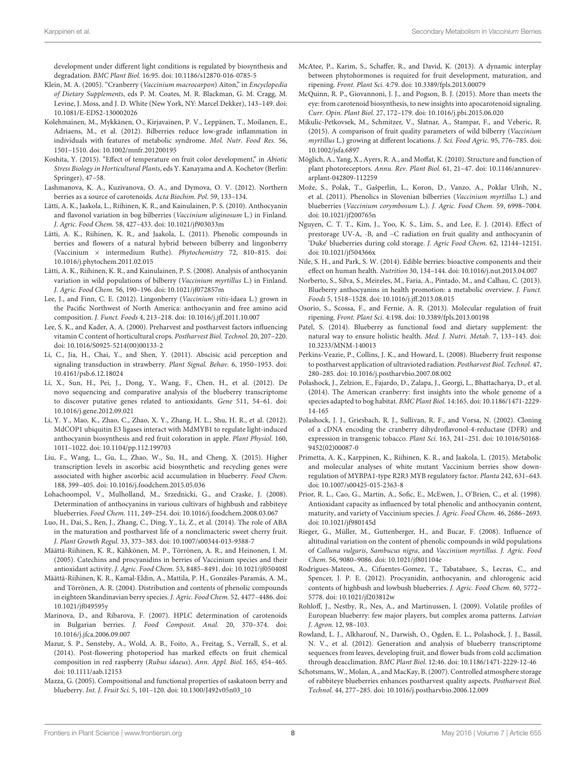development under different light conditions is regulated by biosynthesis and degradation. BMC Plant Biol. 16:95. doi: 10.1186/s12870-016-0785-5

- <span id="page-7-23"></span>Klein, M. A. (2005). "Cranberry (Vaccinium macrocarpon) Aiton," in Encyclopedia of Dietary Supplements, eds P. M. Coates, M. R. Blackman, G. M. Cragg, M. Levine, J. Moss, and J. D. White (New York, NY: Marcel Dekker), 143–149. doi: 10.1081/E-EDS2-130002026
- <span id="page-7-0"></span>Kolehmainen, M., Mykkänen, O., Kirjavainen, P. V., Leppänen, T., Moilanen, E., Adriaens, M., et al. (2012). Bilberries reduce low-grade inflammation in individuals with features of metabolic syndrome. Mol. Nutr. Food Res. 56, 1501–1510. doi: 10.1002/mnfr.201200195
- <span id="page-7-26"></span>Koshita, Y. (2015). "Effect of temperature on fruit color development," in Abiotic Stress Biology in Horticultural Plants, eds Y. Kanayama and A. Kochetov (Berlin: Springer), 47–58.
- <span id="page-7-20"></span>Lashmanova, K. A., Kuzivanova, O. A., and Dymova, O. V. (2012). Northern berries as a source of carotenoids. Acta Biochim. Pol. 59, 133–134.
- <span id="page-7-39"></span>Lätti, A. K., Jaakola, L., Riihinen, K. R., and Kainulainen, P. S. (2010). Anthocyanin and flavonol variation in bog bilberries (Vaccinium uliginosum L.) in Finland. J. Agric. Food Chem. 58, 427–433. doi: 10.1021/jf903033m
- <span id="page-7-9"></span>Lätti, A. K., Riihinen, K. R., and Jaakola, L. (2011). Phenolic compounds in berries and flowers of a natural hybrid between bilberry and lingonberry (Vaccinium × intermedium Ruthe). Phytochemistry 72, 810–815. doi: 10.1016/j.phytochem.2011.02.015
- <span id="page-7-37"></span>Lätti, A. K., Riihinen, K. R., and Kainulainen, P. S. (2008). Analysis of anthocyanin variation in wild populations of bilberry (Vaccinium myrtillus L.) in Finland. J. Agric. Food Chem. 56, 190–196. doi: 10.1021/jf072857m
- <span id="page-7-7"></span>Lee, J., and Finn, C. E. (2012). Lingonberry (Vaccinium vitis-idaea L.) grown in the Pacific Northwest of North America: anthocyanin and free amino acid composition. J. Funct. Foods 4, 213–218. doi: 10.1016/j.jff.2011.10.007
- <span id="page-7-33"></span>Lee, S. K., and Kader, A. A. (2000). Preharvest and postharvest factors influencing vitamin C content of horticultural crops. Postharvest Biol. Technol. 20, 207–220. doi: 10.1016/S0925-5214(00)00133-2
- <span id="page-7-12"></span>Li, C., Jia, H., Chai, Y., and Shen, Y. (2011). Abscisic acid perception and signaling transduction in strawberry. Plant Signal. Behav. 6, 1950–1953. doi: 10.4161/psb.6.12.18024
- <span id="page-7-16"></span>Li, X., Sun, H., Pei, J., Dong, Y., Wang, F., Chen, H., et al. (2012). De novo sequencing and comparative analysis of the blueberry transcriptome to discover putative genes related to antioxidants. Gene 511, 54–61. doi: 10.1016/j.gene.2012.09.021
- <span id="page-7-32"></span>Li, Y. Y., Mao, K., Zhao, C., Zhao, X. Y., Zhang, H. L., Shu, H. R., et al. (2012). MdCOP1 ubiquitin E3 ligases interact with MdMYB1 to regulate light-induced anthocyanin biosynthesis and red fruit coloration in apple. Plant Physiol. 160, 1011–1022. doi: 10.1104/pp.112.199703
- <span id="page-7-24"></span>Liu, F., Wang, L., Gu, L., Zhao, W., Su, H., and Cheng, X. (2015). Higher transcription levels in ascorbic acid biosynthetic and recycling genes were associated with higher ascorbic acid accumulation in blueberry. Food Chem. 188, 399–405. doi: 10.1016/j.foodchem.2015.05.036
- <span id="page-7-6"></span>Lohachoompol, V., Mulholland, M., Srzednicki, G., and Craske, J. (2008). Determination of anthocyanins in various cultivars of highbush and rabbiteye blueberries. Food Chem. 111, 249–254. doi: 10.1016/j.foodchem.2008.03.067
- <span id="page-7-13"></span>Luo, H., Dai, S., Ren, J., Zhang, C., Ding, Y., Li, Z., et al. (2014). The role of ABA in the maturation and postharvest life of a nonclimacteric sweet cherry fruit. J. Plant Growth Regul. 33, 373–383. doi: 10.1007/s00344-013-9388-7
- <span id="page-7-8"></span>Määttä-Riihinen, K. R., Kähkönen, M. P., Törrönen, A. R., and Heinonen, I. M. (2005). Catechins and procyanidins in berries of Vaccinium species and their antioxidant activity. J. Agric. Food Chem. 53, 8485–8491. doi: 10.1021/jf050408l
- <span id="page-7-3"></span>Määttä-Riihinen, K. R., Kamal-Eldin, A., Mattila, P. H., Gonzáles-Paramás, A. M., and Törrönen, A. R. (2004). Distribution and contents of phenolic compounds in eighteen Skandinavian berry species. J. Agric. Food Chem. 52, 4477–4486. doi: 10.1021/jf049595y
- <span id="page-7-19"></span>Marinova, D., and Ribarova, F. (2007). HPLC determination of carotenoids in Bulgarian berries. J. Food Composit. Anal. 20, 370–374. doi: 10.1016/j.jfca.2006.09.007
- <span id="page-7-28"></span>Mazur, S. P., Sønsteby, A., Wold, A. B., Foito, A., Freitag, S., Verrall, S., et al. (2014). Post-flowering photoperiod has marked effects on fruit chemical composition in red raspberry (Rubus idaeus). Ann. Appl. Biol. 165, 454–465. doi: 10.1111/aab.12153
- <span id="page-7-25"></span>Mazza, G. (2005). Compositional and functional properties of saskatoon berry and blueberry. Int. J. Fruit Sci. 5, 101–120. doi: 10.1300/J492v05n03\_10
- <span id="page-7-10"></span>McAtee, P., Karim, S., Schaffer, R., and David, K. (2013). A dynamic interplay between phytohormones is required for fruit development, maturation, and ripening. Front. Plant Sci. 4:79. doi: 10.3389/fpls.2013.00079
- <span id="page-7-21"></span>McQuinn, R. P., Giovannoni, J. J., and Pogson, B. J. (2015). More than meets the eye: from carotenoid biosynthesis, to new insights into apocarotenoid signaling. Curr. Opin. Plant Biol. 27, 172–179. doi: 10.1016/j.pbi.2015.06.020
- <span id="page-7-27"></span>Mikulic-Petkovsek, M., Schmitzer, V., Slatnar, A., Stampar, F., and Veberic, R. (2015). A comparison of fruit quality parameters of wild bilberry (Vaccinium myrtillus L.) growing at different locations. J. Sci. Food Agric. 95, 776–785. doi: 10.1002/jsfa.6897
- <span id="page-7-29"></span>Möglich, A., Yang, X., Ayers, R. A., and Moffat, K. (2010). Structure and function of plant photoreceptors. Annu. Rev. Plant Biol. 61, 21–47. doi: 10.1146/annurevarplant-042809-112259
- <span id="page-7-36"></span>Može, S., Polak, T., Gašperlin, L., Koron, D., Vanzo, A., Poklar Ulrih, N., et al. (2011). Phenolics in Slovenian bilberries (Vaccinium myrtillus L.) and blueberries (Vaccinium corymbosum L.). J. Agric. Food Chem. 59, 6998–7004. doi: 10.1021/jf200765n
- <span id="page-7-31"></span>Nguyen, C. T. T., Kim, J., Yoo, K. S., Lim, S., and Lee, E. J. (2014). Effect of prestorage UV-A, -B, and –C radiation on fruit quality and anthocyanin of 'Duke' blueberries during cold storage. J. Agric Food Chem. 62, 12144–12151. doi: 10.1021/jf504366x
- <span id="page-7-5"></span>Nile, S. H., and Park, S. W. (2014). Edible berries: bioactive components and their effect on human health. Nutrition 30, 134–144. doi: 10.1016/j.nut.2013.04.007
- <span id="page-7-1"></span>Norberto, S., Silva, S., Meireles, M., Faria, A., Pintado, M., and Calhau, C. (2013). Blueberry anthocyanins in health promotion: a metabolic overview. J. Funct. Foods 5, 1518–1528. doi: 10.1016/j.jff.2013.08.015
- <span id="page-7-11"></span>Osorio, S., Scossa, F., and Fernie, A. R. (2013). Molecular regulation of fruit ripening. Front. Plant Sci. 4:198. doi: 10.3389/fpls.2013.00198
- <span id="page-7-2"></span>Patel, S. (2014). Blueberry as functional food and dietary supplement: the natural way to ensure holistic health. Med. J. Nutri. Metab. 7, 133–143. doi: 10.3233/MNM-140013
- <span id="page-7-30"></span>Perkins-Veazie, P., Collins, J. K., and Howard, L. (2008). Blueberry fruit response to postharvest application of ultravioted radiation. Postharvest Biol. Technol. 47, 280–285. doi: 10.1016/j.postharvbio.2007.08.002
- <span id="page-7-18"></span>Polashock, J., Zelzion, E., Fajardo, D., Zalapa, J., Georgi, L., Bhattacharya, D., et al. (2014). The American cranberry: first insights into the whole genome of a species adapted to bog habitat. BMC Plant Biol. 14:165. doi: 10.1186/1471-2229- 14-165
- <span id="page-7-14"></span>Polashock, J. J., Griesbach, R. J., Sullivan, R. F., and Vorsa, N. (2002). Cloning of a cDNA encoding the cranberry dihydroflavonol-4-reductase (DFR) and expression in transgenic tobacco. Plant Sci. 163, 241–251. doi: 10.1016/S0168- 9452(02)00087-0
- <span id="page-7-15"></span>Primetta, A. K., Karppinen, K., Riihinen, K. R., and Jaakola, L. (2015). Metabolic and molecular analyses of white mutant Vaccinium berries show downregulation of MYBPA1-type R2R3 MYB regulatory factor. Planta 242, 631–643. doi: 10.1007/s00425-015-2363-8
- <span id="page-7-35"></span>Prior, R. L., Cao, G., Martin, A., Sofic, E., McEwen, J., O'Brien, C., et al. (1998). Antioxidant capacity as influenced by total phenolic and anthocyanin content, maturity, and variety of Vaccinium species. J. Agric. Food Chem. 46, 2686–2693. doi: 10.1021/jf980145d
- <span id="page-7-38"></span>Rieger, G., Müller, M., Guttenberger, H., and Bucar, F. (2008). Influence of altitudinal variation on the content of phenolic compounds in wild populations of Calluna vulgaris, Sambucus nigra, and Vaccinium myrtillus. J. Agric. Food Chem. 56, 9080–9086. doi: 10.1021/jf801104e
- <span id="page-7-4"></span>Rodrigues-Mateos, A., Cifuentes-Gomez, T., Tabatabaee, S., Lecras, C., and Spencer, J. P. E. (2012). Procyanidin, anthocyanin, and chlorogenic acid contents of highbush and lowbush blueberries. J. Agric. Food Chem. 60, 5772– 5778. doi: 10.1021/jf203812w
- <span id="page-7-22"></span>Rohloff, J., Nestby, R., Nes, A., and Martinussen, I. (2009). Volatile profiles of European blueberry: few major players, but complex aroma patterns. Latvian J. Agron. 12, 98–103.
- <span id="page-7-17"></span>Rowland, L. J., Alkharouf, N., Darwish, O., Ogden, E. L., Polashock, J. J., Bassil, N. V., et al. (2012). Generation and analysis of blueberry transcriptome sequences from leaves, developing fruit, and flower buds from cold acclimation through deacclimation. BMC Plant Biol. 12:46. doi: 10.1186/1471-2229-12-46
- <span id="page-7-34"></span>Schotsmans, W., Molan, A., and MacKay, B. (2007). Controlled atmosphere storage of rabbiteye blueberries enhances postharvest quality aspects. Postharvest Biol. Technol. 44, 277–285. doi: 10.1016/j.postharvbio.2006.12.009